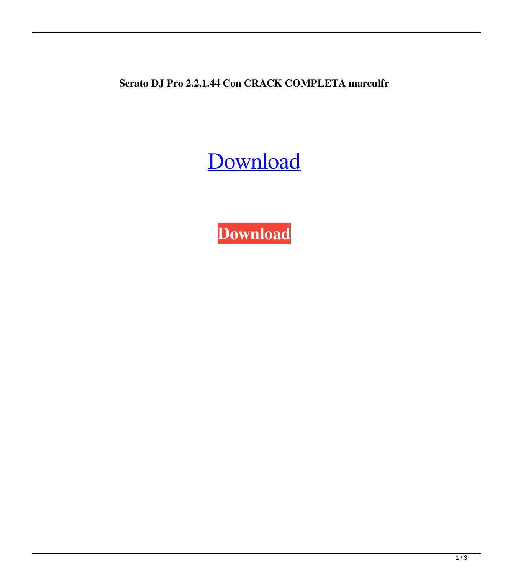**Serato DJ Pro 2.2.1.44 Con CRACK COMPLETA marculfr**

[Download](http://evacdir.com/oversubscribed/ZG93bmxvYWR8TTVWTVdkdGJIeDhNVFkxTWpRMk16QTFNSHg4TWpVM05IeDhLRTBwSUhKbFlXUXRZbXh2WnlCYlJtRnpkQ0JIUlU1ZA/adumbrate.airlifted?aronovich=U2VyYXRvIERKIFBybyAyLjIuMS40NCBjb24gQ1JBQ0sgQ09NUExFVEEU2V.cryoprobe.fitzroy.likement)

**[Download](http://evacdir.com/oversubscribed/ZG93bmxvYWR8TTVWTVdkdGJIeDhNVFkxTWpRMk16QTFNSHg4TWpVM05IeDhLRTBwSUhKbFlXUXRZbXh2WnlCYlJtRnpkQ0JIUlU1ZA/adumbrate.airlifted?aronovich=U2VyYXRvIERKIFBybyAyLjIuMS40NCBjb24gQ1JBQ0sgQ09NUExFVEEU2V.cryoprobe.fitzroy.likement)**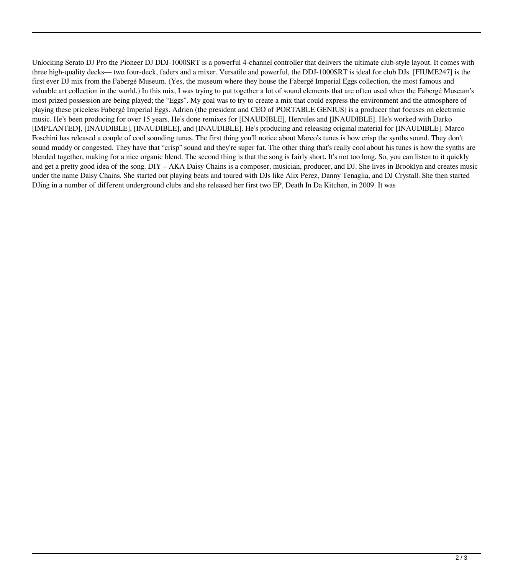Unlocking Serato DJ Pro the Pioneer DJ DDJ-1000SRT is a powerful 4-channel controller that delivers the ultimate club-style layout. It comes with three high-quality decks— two four-deck, faders and a mixer. Versatile and powerful, the DDJ-1000SRT is ideal for club DJs. [FIUME247] is the first ever DJ mix from the Fabergé Museum. (Yes, the museum where they house the Fabergé Imperial Eggs collection, the most famous and valuable art collection in the world.) In this mix, I was trying to put together a lot of sound elements that are often used when the Fabergé Museum's most prized possession are being played; the "Eggs". My goal was to try to create a mix that could express the environment and the atmosphere of playing these priceless Fabergé Imperial Eggs. Adrien (the president and CEO of PORTABLE GENIUS) is a producer that focuses on electronic music. He's been producing for over 15 years. He's done remixes for [INAUDIBLE], Hercules and [INAUDIBLE]. He's worked with Darko [IMPLANTED], [INAUDIBLE], [INAUDIBLE], and [INAUDIBLE]. He's producing and releasing original material for [INAUDIBLE]. Marco Foschini has released a couple of cool sounding tunes. The first thing you'll notice about Marco's tunes is how crisp the synths sound. They don't sound muddy or congested. They have that "crisp" sound and they're super fat. The other thing that's really cool about his tunes is how the synths are blended together, making for a nice organic blend. The second thing is that the song is fairly short. It's not too long. So, you can listen to it quickly and get a pretty good idea of the song. DIY – AKA Daisy Chains is a composer, musician, producer, and DJ. She lives in Brooklyn and creates music under the name Daisy Chains. She started out playing beats and toured with DJs like Alix Perez, Danny Tenaglia, and DJ Crystall. She then started DJing in a number of different underground clubs and she released her first two EP, Death In Da Kitchen, in 2009. It was